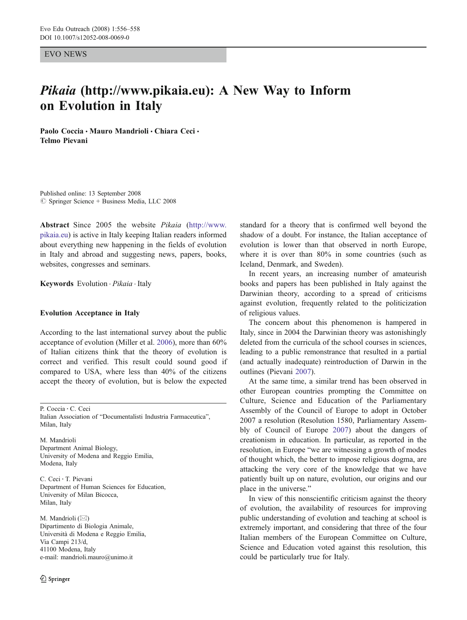EVO NEWS

# Pikaia (http://www.pikaia.eu): A New Way to Inform on Evolution in Italy

Paolo Coccia · Mauro Mandrioli · Chiara Ceci · Telmo Pievani

Published online: 13 September 2008  $\oslash$  Springer Science + Business Media, LLC 2008

Abstract Since 2005 the website Pikaia [\(http://www.](http://www.pikaia.eu) [pikaia.eu\)](http://www.pikaia.eu) is active in Italy keeping Italian readers informed about everything new happening in the fields of evolution in Italy and abroad and suggesting news, papers, books, websites, congresses and seminars.

Keywords Evolution · Pikaia · Italy

### Evolution Acceptance in Italy

According to the last international survey about the public acceptance of evolution (Miller et al. [2006](#page-2-0)), more than 60% of Italian citizens think that the theory of evolution is correct and verified. This result could sound good if compared to USA, where less than 40% of the citizens accept the theory of evolution, but is below the expected

P. Coccia : C. Ceci

M. Mandrioli Department Animal Biology, University of Modena and Reggio Emilia, Modena, Italy

C. Ceci : T. Pievani Department of Human Sciences for Education, University of Milan Bicocca, Milan, Italy

M. Mandrioli ( $\boxtimes$ ) Dipartimento di Biologia Animale, Università di Modena e Reggio Emilia, Via Campi 213/d, 41100 Modena, Italy e-mail: mandrioli.mauro@unimo.it

standard for a theory that is confirmed well beyond the shadow of a doubt. For instance, the Italian acceptance of evolution is lower than that observed in north Europe, where it is over than 80% in some countries (such as Iceland, Denmark, and Sweden).

In recent years, an increasing number of amateurish books and papers has been published in Italy against the Darwinian theory, according to a spread of criticisms against evolution, frequently related to the politicization of religious values.

The concern about this phenomenon is hampered in Italy, since in 2004 the Darwinian theory was astonishingly deleted from the curricula of the school courses in sciences, leading to a public remonstrance that resulted in a partial (and actually inadequate) reintroduction of Darwin in the outlines (Pievani [2007\)](#page-2-0).

At the same time, a similar trend has been observed in other European countries prompting the Committee on Culture, Science and Education of the Parliamentary Assembly of the Council of Europe to adopt in October 2007 a resolution (Resolution 1580, Parliamentary Assembly of Council of Europe [2007\)](#page-2-0) about the dangers of creationism in education. In particular, as reported in the resolution, in Europe "we are witnessing a growth of modes of thought which, the better to impose religious dogma, are attacking the very core of the knowledge that we have patiently built up on nature, evolution, our origins and our place in the universe."

In view of this nonscientific criticism against the theory of evolution, the availability of resources for improving public understanding of evolution and teaching at school is extremely important, and considering that three of the four Italian members of the European Committee on Culture, Science and Education voted against this resolution, this could be particularly true for Italy.

Italian Association of "Documentalisti Industria Farmaceutica", Milan, Italy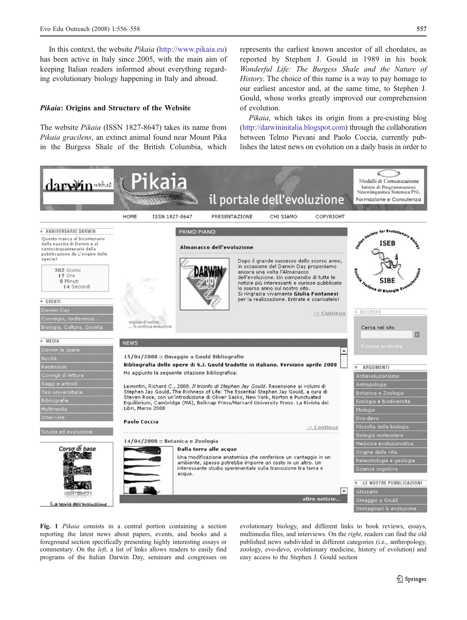<span id="page-1-0"></span>In this context, the website Pikaia [\(http://www.pikaia.eu\)](http://www.pikaia.eu) has been active in Italy since 2005, with the main aim of keeping Italian readers informed about everything regarding evolutionary biology happening in Italy and abroad.

## Pikaia: Origins and Structure of the Website

The website Pikaia (ISSN 1827-8647) takes its name from Pikaia gracilens, an extinct animal found near Mount Pika in the Burgess Shale of the British Columbia, which represents the earliest known ancestor of all chordates, as reported by Stephen J. Gould in 1989 in his book Wonderful Life: The Burgess Shale and the Nature of History. The choice of this name is a way to pay homage to our earliest ancestor and, at the same time, to Stephen J. Gould, whose works greatly improved our comprehension of evolution.

Pikaia, which takes its origin from a pre-existing blog [\(http://darwininitalia.blogspot.com](http://darwininitalia.blogspot.com)) through the collaboration between Telmo Pievani and Paolo Coccia, currently publishes the latest news on evolution on a daily basis in order to



Fig. 1 Pikaia consists in a central portion containing a section reporting the latest news about papers, events, and books and a foreground section specifically presenting highly interesting essays or commentary. On the left, a list of links allows readers to easily find programs of the Italian Darwin Day, seminars and congresses on evolutionary biology, and different links to book reviews, essays, multimedia files, and interviews. On the right, readers can find the old published news subdivided in different categories (i.e., anthropology, zoology, evo-devo, evolutionary medicine, history of evolution) and easy access to the Stephen J. Gould section